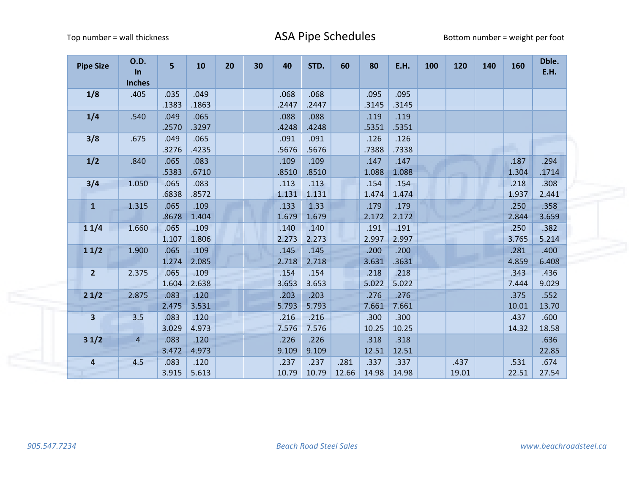| <b>Pipe Size</b>        | <b>O.D.</b><br><b>In</b><br><b>Inches</b> | 5             | 10            | 20 | 30 | 40            | STD.          | 60            | 80            | E.H.          | 100 | 120           | 140 | 160           | Dble.<br>E.H. |
|-------------------------|-------------------------------------------|---------------|---------------|----|----|---------------|---------------|---------------|---------------|---------------|-----|---------------|-----|---------------|---------------|
| 1/8                     | .405                                      | .035<br>.1383 | .049<br>.1863 |    |    | .068<br>.2447 | .068<br>.2447 |               | .095<br>.3145 | .095<br>.3145 |     |               |     |               |               |
| 1/4                     | .540                                      | .049<br>.2570 | .065<br>.3297 |    |    | .088<br>.4248 | .088<br>.4248 |               | .119<br>.5351 | .119<br>.5351 |     |               |     |               |               |
| 3/8                     | .675                                      | .049<br>.3276 | .065<br>.4235 |    |    | .091<br>.5676 | .091<br>.5676 |               | .126<br>.7388 | .126<br>.7338 |     |               |     |               |               |
| 1/2                     | .840                                      | .065<br>.5383 | .083<br>.6710 |    |    | .109<br>.8510 | .109<br>.8510 |               | .147<br>1.088 | .147<br>1.088 |     |               |     | .187<br>1.304 | .294<br>.1714 |
| 3/4                     | 1.050                                     | .065<br>.6838 | .083<br>.8572 |    |    | .113<br>1.131 | .113<br>1.131 |               | .154<br>1.474 | .154<br>1.474 |     |               |     | .218<br>1.937 | .308<br>2.441 |
| $\mathbf{1}$            | 1.315                                     | .065<br>.8678 | .109<br>1.404 |    |    | .133<br>1.679 | 1.33<br>1.679 |               | .179<br>2.172 | .179<br>2.172 |     |               |     | .250<br>2.844 | .358<br>3.659 |
| 11/4                    | 1.660                                     | .065<br>1.107 | .109<br>1.806 |    |    | .140<br>2.273 | .140<br>2.273 |               | .191<br>2.997 | .191<br>2.997 |     |               |     | .250<br>3.765 | .382<br>5.214 |
| 11/2                    | 1.900                                     | .065<br>1.274 | .109<br>2.085 |    |    | .145<br>2.718 | .145<br>2.718 |               | .200<br>3.631 | .200<br>.3631 |     |               |     | .281<br>4.859 | .400<br>6.408 |
| $\overline{2}$          | 2.375                                     | .065<br>1.604 | .109<br>2.638 |    |    | .154<br>3.653 | .154<br>3.653 |               | .218<br>5.022 | .218<br>5.022 |     |               |     | .343<br>7.444 | .436<br>9.029 |
| 21/2                    | 2.875                                     | .083<br>2.475 | .120<br>3.531 |    |    | .203<br>5.793 | .203<br>5.793 |               | .276<br>7.661 | .276<br>7.661 |     |               |     | .375<br>10.01 | .552<br>13.70 |
| $\overline{\mathbf{3}}$ | 3.5                                       | .083<br>3.029 | .120<br>4.973 |    |    | .216<br>7.576 | .216<br>7.576 |               | .300<br>10.25 | .300<br>10.25 |     |               |     | .437<br>14.32 | .600<br>18.58 |
| 31/2                    | $\overline{4}$                            | .083<br>3.472 | .120<br>4.973 |    |    | .226<br>9.109 | .226<br>9.109 |               | .318<br>12.51 | .318<br>12.51 |     |               |     |               | .636<br>22.85 |
| 4                       | 4.5                                       | .083<br>3.915 | .120<br>5.613 |    |    | .237<br>10.79 | .237<br>10.79 | .281<br>12.66 | .337<br>14.98 | .337<br>14.98 |     | .437<br>19.01 |     | .531<br>22.51 | .674<br>27.54 |